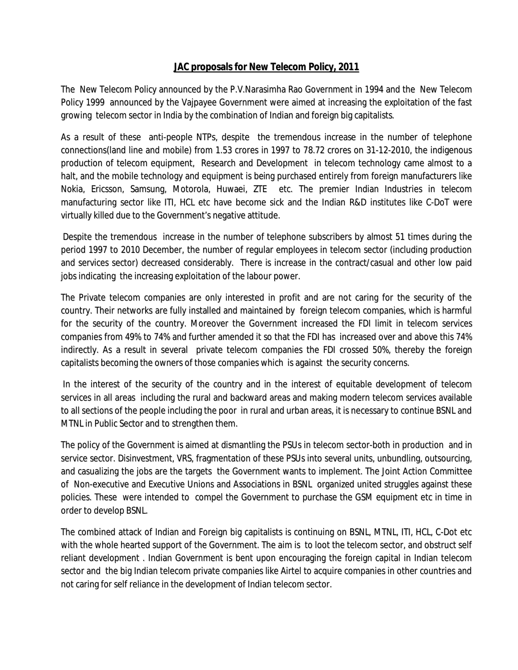## **JAC proposals for New Telecom Policy, 2011**

The New Telecom Policy announced by the P.V.Narasimha Rao Government in 1994 and the New Telecom Policy 1999 announced by the Vajpayee Government were aimed at increasing the exploitation of the fast growing telecom sector in India by the combination of Indian and foreign big capitalists.

As a result of these anti-people NTPs, despite the tremendous increase in the number of telephone connections(land line and mobile) from 1.53 crores in 1997 to 78.72 crores on 31-12-2010, the indigenous production of telecom equipment, Research and Development in telecom technology came almost to a halt, and the mobile technology and equipment is being purchased entirely from foreign manufacturers like Nokia, Ericsson, Samsung, Motorola, Huwaei, ZTE etc. The premier Indian Industries in telecom manufacturing sector like ITI, HCL etc have become sick and the Indian R&D institutes like C-DoT were virtually killed due to the Government's negative attitude.

Despite the tremendous increase in the number of telephone subscribers by almost 51 times during the period 1997 to 2010 December, the number of regular employees in telecom sector (including production and services sector) decreased considerably. There is increase in the contract/casual and other low paid jobs indicating the increasing exploitation of the labour power.

The Private telecom companies are only interested in profit and are not caring for the security of the country. Their networks are fully installed and maintained by foreign telecom companies, which is harmful for the security of the country. Moreover the Government increased the FDI limit in telecom services companies from 49% to 74% and further amended it so that the FDI has increased over and above this 74% indirectly. As a result in several private telecom companies the FDI crossed 50%, thereby the foreign capitalists becoming the owners of those companies which is against the security concerns.

In the interest of the security of the country and in the interest of equitable development of telecom services in all areas including the rural and backward areas and making modern telecom services available to all sections of the people including the poor in rural and urban areas, it is necessary to continue BSNL and MTNL in Public Sector and to strengthen them.

The policy of the Government is aimed at dismantling the PSUs in telecom sector-both in production and in service sector. Disinvestment, VRS, fragmentation of these PSUs into several units, unbundling, outsourcing, and casualizing the jobs are the targets the Government wants to implement. The Joint Action Committee of Non-executive and Executive Unions and Associations in BSNL organized united struggles against these policies. These were intended to compel the Government to purchase the GSM equipment etc in time in order to develop BSNL.

The combined attack of Indian and Foreign big capitalists is continuing on BSNL, MTNL, ITI, HCL, C-Dot etc with the whole hearted support of the Government. The aim is to loot the telecom sector, and obstruct self reliant development . Indian Government is bent upon encouraging the foreign capital in Indian telecom sector and the big Indian telecom private companies like Airtel to acquire companies in other countries and not caring for self reliance in the development of Indian telecom sector.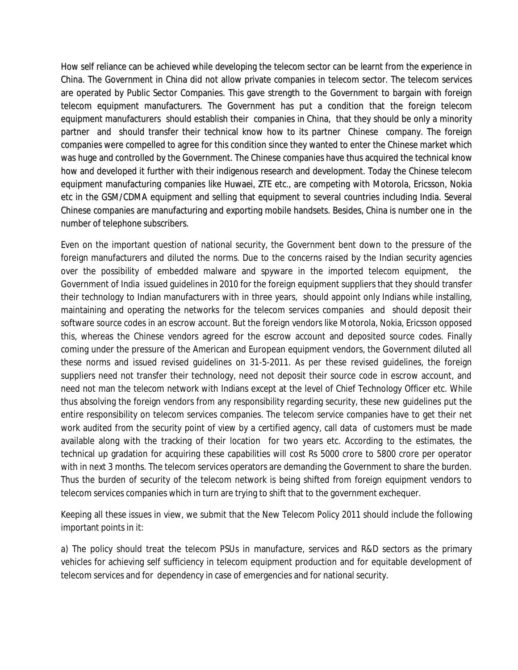How self reliance can be achieved while developing the telecom sector can be learnt from the experience in China. The Government in China did not allow private companies in telecom sector. The telecom services are operated by Public Sector Companies. This gave strength to the Government to bargain with foreign telecom equipment manufacturers. The Government has put a condition that the foreign telecom equipment manufacturers should establish their companies in China, that they should be only a minority partner and should transfer their technical know how to its partner Chinese company. The foreign companies were compelled to agree for this condition since they wanted to enter the Chinese market which was huge and controlled by the Government. The Chinese companies have thus acquired the technical know how and developed it further with their indigenous research and development. Today the Chinese telecom equipment manufacturing companies like Huwaei, ZTE etc., are competing with Motorola, Ericsson, Nokia etc in the GSM/CDMA equipment and selling that equipment to several countries including India. Several Chinese companies are manufacturing and exporting mobile handsets. Besides, China is number one in the number of telephone subscribers.

Even on the important question of national security, the Government bent down to the pressure of the foreign manufacturers and diluted the norms. Due to the concerns raised by the Indian security agencies over the possibility of embedded malware and spyware in the imported telecom equipment, the Government of India issued guidelines in 2010 for the foreign equipment suppliers that they should transfer their technology to Indian manufacturers with in three years, should appoint only Indians while installing, maintaining and operating the networks for the telecom services companies and should deposit their software source codes in an escrow account. But the foreign vendors like Motorola, Nokia, Ericsson opposed this, whereas the Chinese vendors agreed for the escrow account and deposited source codes. Finally coming under the pressure of the American and European equipment vendors, the Government diluted all these norms and issued revised guidelines on 31-5-2011. As per these revised guidelines, the foreign suppliers need not transfer their technology, need not deposit their source code in escrow account, and need not man the telecom network with Indians except at the level of Chief Technology Officer etc. While thus absolving the foreign vendors from any responsibility regarding security, these new guidelines put the entire responsibility on telecom services companies. The telecom service companies have to get their net work audited from the security point of view by a certified agency, call data of customers must be made available along with the tracking of their location for two years etc. According to the estimates, the technical up gradation for acquiring these capabilities will cost Rs 5000 crore to 5800 crore per operator with in next 3 months. The telecom services operators are demanding the Government to share the burden. Thus the burden of security of the telecom network is being shifted from foreign equipment vendors to telecom services companies which in turn are trying to shift that to the government exchequer.

Keeping all these issues in view, we submit that the New Telecom Policy 2011 should include the following important points in it:

a) The policy should treat the telecom PSUs in manufacture, services and R&D sectors as the primary vehicles for achieving self sufficiency in telecom equipment production and for equitable development of telecom services and for dependency in case of emergencies and for national security.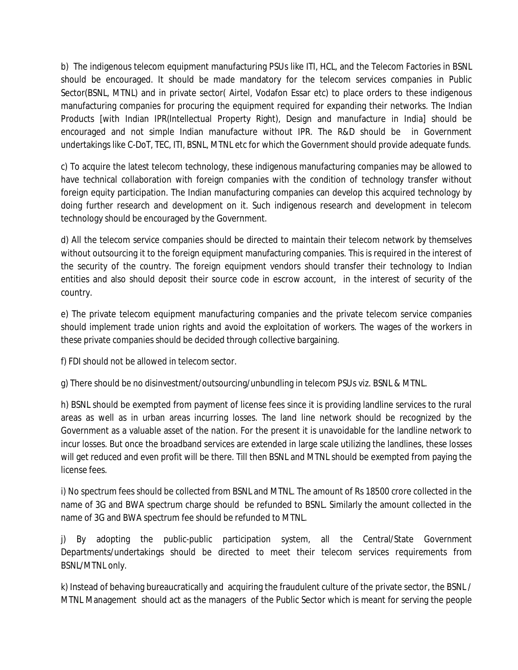b) The indigenous telecom equipment manufacturing PSUs like ITI, HCL, and the Telecom Factories in BSNL should be encouraged. It should be made mandatory for the telecom services companies in Public Sector(BSNL, MTNL) and in private sector( Airtel, Vodafon Essar etc) to place orders to these indigenous manufacturing companies for procuring the equipment required for expanding their networks. The Indian Products [with Indian IPR(Intellectual Property Right), Design and manufacture in India] should be encouraged and not simple Indian manufacture without IPR. The R&D should be in Government undertakings like C-DoT, TEC, ITI, BSNL, MTNL etc for which the Government should provide adequate funds.

c) To acquire the latest telecom technology, these indigenous manufacturing companies may be allowed to have technical collaboration with foreign companies with the condition of technology transfer without foreign equity participation. The Indian manufacturing companies can develop this acquired technology by doing further research and development on it. Such indigenous research and development in telecom technology should be encouraged by the Government.

d) All the telecom service companies should be directed to maintain their telecom network by themselves without outsourcing it to the foreign equipment manufacturing companies. This is required in the interest of the security of the country. The foreign equipment vendors should transfer their technology to Indian entities and also should deposit their source code in escrow account, in the interest of security of the country.

e) The private telecom equipment manufacturing companies and the private telecom service companies should implement trade union rights and avoid the exploitation of workers. The wages of the workers in these private companies should be decided through collective bargaining.

f) FDI should not be allowed in telecom sector.

g) There should be no disinvestment/outsourcing/unbundling in telecom PSUs viz. BSNL & MTNL.

h) BSNL should be exempted from payment of license fees since it is providing landline services to the rural areas as well as in urban areas incurring losses. The land line network should be recognized by the Government as a valuable asset of the nation. For the present it is unavoidable for the landline network to incur losses. But once the broadband services are extended in large scale utilizing the landlines, these losses will get reduced and even profit will be there. Till then BSNL and MTNL should be exempted from paying the license fees.

i) No spectrum fees should be collected from BSNL and MTNL. The amount of Rs 18500 crore collected in the name of 3G and BWA spectrum charge should be refunded to BSNL. Similarly the amount collected in the name of 3G and BWA spectrum fee should be refunded to MTNL.

j) By adopting the public-public participation system, all the Central/State Government Departments/undertakings should be directed to meet their telecom services requirements from BSNL/MTNL only.

k) Instead of behaving bureaucratically and acquiring the fraudulent culture of the private sector, the BSNL / MTNL Management should act as the managers of the Public Sector which is meant for serving the people